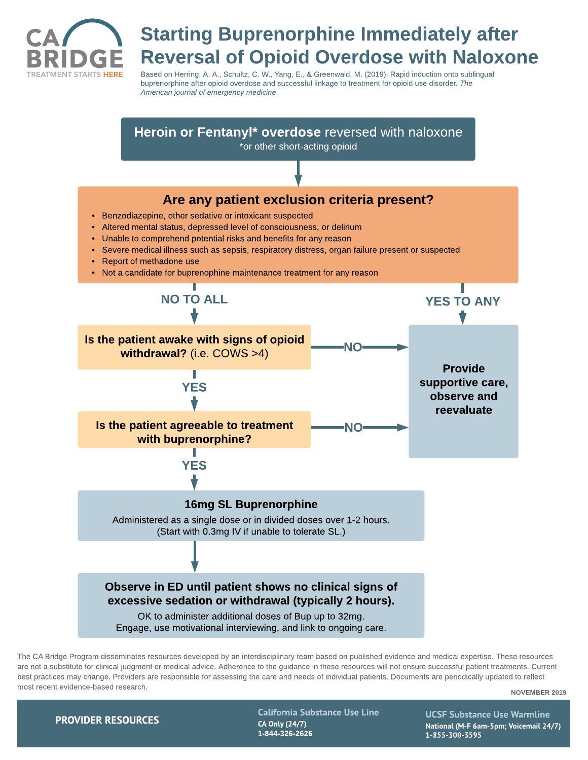

## *Starting Buprenorphine Immediately after Reversal of Opioid Overdose with Naloxone*

Based on Herring, A. A., Schultz, C. W., Yang, E., & Greenwald, M. (2019). Rapid induction onto sublingual buprenorphine after opioid overdose and successful linkage to treatment for opioid use disorder. **The American journal of emergency medicine**.

*Heroin or Fentanyl\* overdose* reversed with naloxone \*or other short-acting opioid *Are any patient exclusion criteria present?* - Benzodiazepine, other sedative or intoxicant suspected - Altered mental status, depressed level of consciousness, or delirium - Unable to comprehend potential risks and benefits for any reason - Severe medical illness such as sepsis, respiratory distress, organ failure present or suspected • Report of methadone use - Not a candidate for buprenophine maintenance treatment for any reason *NO TO ALL YES TO ANY Is the patient awake with signs of opioid NO withdrawal?* (i.e. COWS >4) *Provide* Т *supportive care, YES observe and reevaluate Is the patient agreeable to treatment NOwith buprenorphine? YES 16mg SL Buprenorphine* Administered as a single dose or in divided doses over 1-2 hours. (Start with 0.3mg IV if unable to tolerate SL.) *Observe in ED until patient shows no clinical signs of excessive sedation or withdrawal (typically 2 hours).* OK to administer additional doses of Bup up to 32mg. Engage, use motivational interviewing, and link to ongoing care.

The CA Bridge Program disseminates resources developed by an interdisciplinary team based on published evidence and medical expertise. These resources are not a substitute for clinical judgment or medical advice. Adherence to the guidance in these resources will not ensure successful patient treatments. Current best practices may change. Providers are responsible for assessing the care and needs of individual patients. Documents are periodically updated to reflect most recent evidence-based research.

*NOVEMBER 2019*

**PROVIDER RESOURCES** 

*California Substance Use Line CA Only (24/7) 1-844-326-2626*

*UCSFSubstance Use Warmline National (M-F6am-5pm; Voicemail 24/7) 1-855-300-3595*